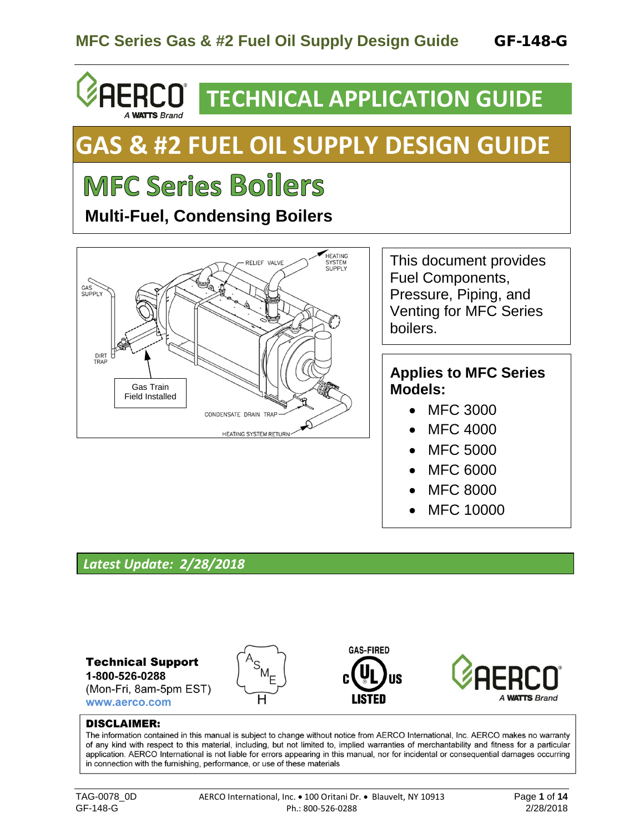# **RCO**<sup> $\overline{ }$ </sup> **TECHNICAL APPLICATION GUIDE**

# **GAS & #2 FUEL OIL SUPPLY DESIGN GUIDE**

# **MFC Series Boilers**

**A WATTS Brand** 

 **Multi-Fuel, Condensing Boilers**



This document provides Fuel Components, Pressure, Piping, and Venting for MFC Series boilers.

### **Applies to MFC Series Models:**

- MFC 3000
- MFC 4000
- MFC 5000
- MFC 6000
- MFC 8000
- MFC 10000

## *Latest Update: 2/28/2018*



#### **DISCLAIMER:**

The information contained in this manual is subject to change without notice from AERCO International, Inc. AERCO makes no warranty of any kind with respect to this material, including, but not limited to, implied warranties of merchantability and fitness for a particular application. AERCO International is not liable for errors appearing in this manual, nor for incidental or consequential damages occurring in connection with the furnishing, performance, or use of these materials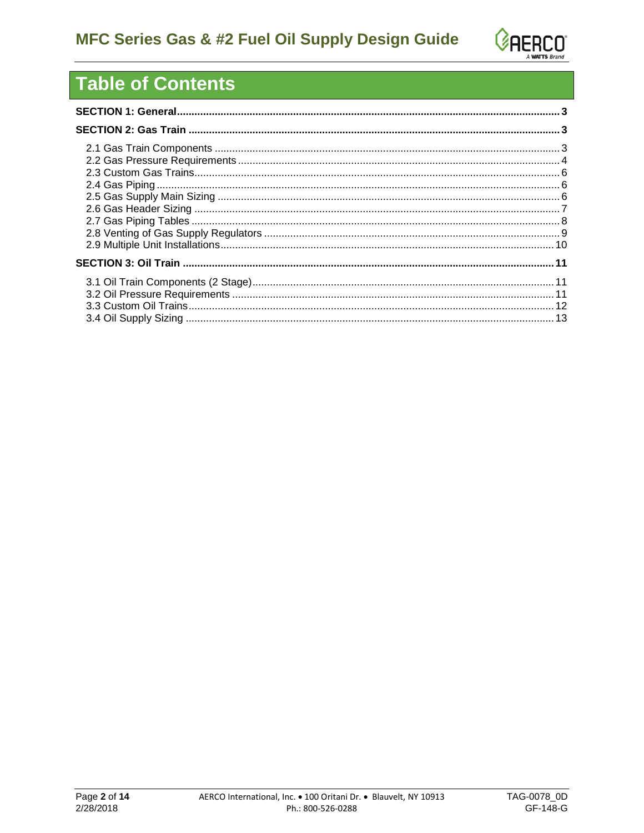

# **Table of Contents**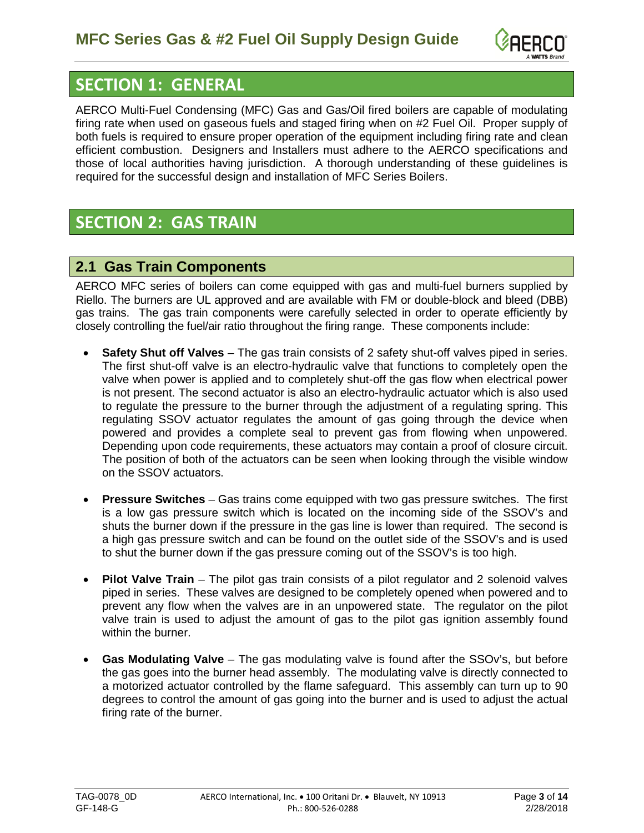

# <span id="page-2-0"></span>**SECTION 1: GENERAL**

AERCO Multi-Fuel Condensing (MFC) Gas and Gas/Oil fired boilers are capable of modulating firing rate when used on gaseous fuels and staged firing when on #2 Fuel Oil. Proper supply of both fuels is required to ensure proper operation of the equipment including firing rate and clean efficient combustion. Designers and Installers must adhere to the AERCO specifications and those of local authorities having jurisdiction. A thorough understanding of these guidelines is required for the successful design and installation of MFC Series Boilers.

# <span id="page-2-1"></span>**SECTION 2: GAS TRAIN**

#### <span id="page-2-2"></span>**2.1 Gas Train Components**

AERCO MFC series of boilers can come equipped with gas and multi-fuel burners supplied by Riello. The burners are UL approved and are available with FM or double-block and bleed (DBB) gas trains. The gas train components were carefully selected in order to operate efficiently by closely controlling the fuel/air ratio throughout the firing range. These components include:

- **Safety Shut off Valves** The gas train consists of 2 safety shut-off valves piped in series. The first shut-off valve is an electro-hydraulic valve that functions to completely open the valve when power is applied and to completely shut-off the gas flow when electrical power is not present. The second actuator is also an electro-hydraulic actuator which is also used to regulate the pressure to the burner through the adjustment of a regulating spring. This regulating SSOV actuator regulates the amount of gas going through the device when powered and provides a complete seal to prevent gas from flowing when unpowered. Depending upon code requirements, these actuators may contain a proof of closure circuit. The position of both of the actuators can be seen when looking through the visible window on the SSOV actuators.
- **Pressure Switches** Gas trains come equipped with two gas pressure switches. The first is a low gas pressure switch which is located on the incoming side of the SSOV's and shuts the burner down if the pressure in the gas line is lower than required. The second is a high gas pressure switch and can be found on the outlet side of the SSOV's and is used to shut the burner down if the gas pressure coming out of the SSOV's is too high.
- **Pilot Valve Train** The pilot gas train consists of a pilot regulator and 2 solenoid valves piped in series. These valves are designed to be completely opened when powered and to prevent any flow when the valves are in an unpowered state. The regulator on the pilot valve train is used to adjust the amount of gas to the pilot gas ignition assembly found within the burner.
- **Gas Modulating Valve** The gas modulating valve is found after the SSOv's, but before the gas goes into the burner head assembly. The modulating valve is directly connected to a motorized actuator controlled by the flame safeguard. This assembly can turn up to 90 degrees to control the amount of gas going into the burner and is used to adjust the actual firing rate of the burner.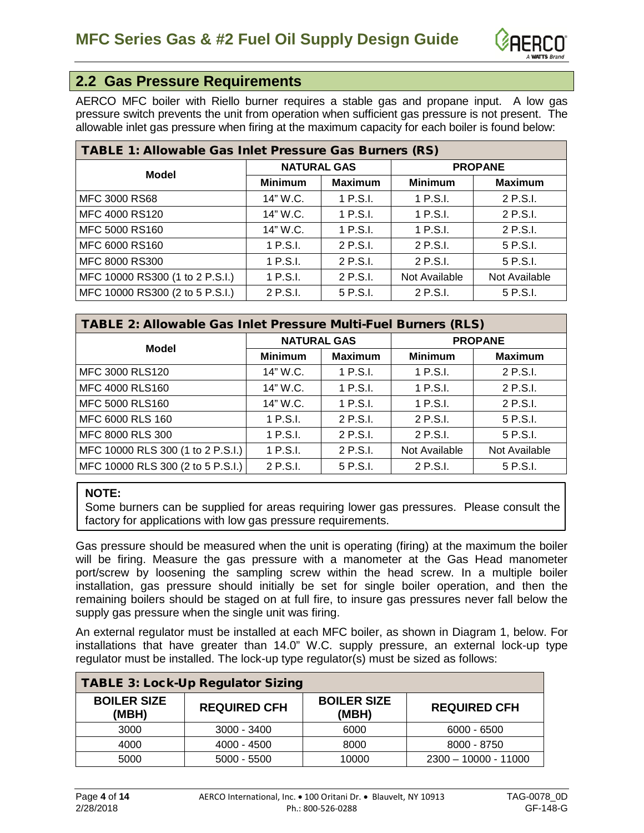

#### <span id="page-3-0"></span>**2.2 Gas Pressure Requirements**

AERCO MFC boiler with Riello burner requires a stable gas and propane input. A low gas pressure switch prevents the unit from operation when sufficient gas pressure is not present. The allowable inlet gas pressure when firing at the maximum capacity for each boiler is found below:

| <b>TABLE 1: Allowable Gas Inlet Pressure Gas Burners (RS)</b> |                    |                |                |                |  |  |  |
|---------------------------------------------------------------|--------------------|----------------|----------------|----------------|--|--|--|
| <b>Model</b>                                                  | <b>NATURAL GAS</b> |                | <b>PROPANE</b> |                |  |  |  |
|                                                               | <b>Minimum</b>     | <b>Maximum</b> | <b>Minimum</b> | <b>Maximum</b> |  |  |  |
| <b>MFC 3000 RS68</b>                                          | 14" W.C.           | 1 P.S.I.       | 1 P.S.I.       | 2 P.S.I.       |  |  |  |
| MFC 4000 RS120                                                | 14" W.C.           | 1 P.S.I.       | $1$ P.S.I.     | 2 P.S.I.       |  |  |  |
| MFC 5000 RS160                                                | 14" W.C.           | 1 P.S.I.       | 1 P.S.I.       | 2 P.S.I.       |  |  |  |
| MFC 6000 RS160                                                | 1 P.S.I.           | 2 P.S.I.       | 2 P.S.I.       | 5 P.S.I.       |  |  |  |
| MFC 8000 RS300                                                | 1 P.S.I.           | 2 P.S.I.       | 2 P.S.I.       | 5 P.S.I.       |  |  |  |
| MFC 10000 RS300 (1 to 2 P.S.I.)                               | 1 P.S.I.           | 2 P.S.I.       | Not Available  | Not Available  |  |  |  |
| MFC 10000 RS300 (2 to 5 P.S.I.)                               | 2 P.S.I.           | 5 P.S.I.       | 2 P.S.I.       | 5 P.S.I.       |  |  |  |

| TABLE 2: Allowable Gas Inlet Pressure Multi-Fuel Burners (RLS) |                    |                |                |                |  |  |  |
|----------------------------------------------------------------|--------------------|----------------|----------------|----------------|--|--|--|
| <b>Model</b>                                                   | <b>NATURAL GAS</b> |                | <b>PROPANE</b> |                |  |  |  |
|                                                                | <b>Minimum</b>     | <b>Maximum</b> | <b>Minimum</b> | <b>Maximum</b> |  |  |  |
| MFC 3000 RLS120                                                | 14" W.C.           | 1 P.S.I.       | 1 P.S.I.       | 2 P.S.I.       |  |  |  |
| MFC 4000 RLS160                                                | 14" W.C.           | 1 P.S.I.       | 1 P.S.I.       | 2 P.S.I.       |  |  |  |
| MFC 5000 RLS160                                                | 14" W.C.           | $1$ P.S.I.     | 1 P.S.I.       | 2 P.S.I.       |  |  |  |
| MFC 6000 RLS 160                                               | 1 P.S.I.           | 2 P.S.I.       | 2 P.S.I.       | 5 P.S.I.       |  |  |  |
| MFC 8000 RLS 300                                               | 1 P.S.I.           | 2 P.S.I.       | 2 P.S.I.       | 5 P.S.I.       |  |  |  |
| MFC 10000 RLS 300 (1 to 2 P.S.I.)                              | $1$ P.S.I.         | 2 P.S.I.       | Not Available  | Not Available  |  |  |  |
| MFC 10000 RLS 300 (2 to 5 P.S.I.)                              | 2 P.S.I.           | 5 P.S.I.       | 2 P.S.I.       | 5 P.S.I.       |  |  |  |

#### **NOTE:**

Some burners can be supplied for areas requiring lower gas pressures. Please consult the factory for applications with low gas pressure requirements.

Gas pressure should be measured when the unit is operating (firing) at the maximum the boiler will be firing. Measure the gas pressure with a manometer at the Gas Head manometer port/screw by loosening the sampling screw within the head screw. In a multiple boiler installation, gas pressure should initially be set for single boiler operation, and then the remaining boilers should be staged on at full fire, to insure gas pressures never fall below the supply gas pressure when the single unit was firing.

An external regulator must be installed at each MFC boiler, as shown in Diagram 1, below. For installations that have greater than 14.0" W.C. supply pressure, an external lock-up type regulator must be installed. The lock-up type regulator(s) must be sized as follows:

| <b>TABLE 3: Lock-Up Regulator Sizing</b> |                     |                             |                        |  |  |  |  |  |
|------------------------------------------|---------------------|-----------------------------|------------------------|--|--|--|--|--|
| <b>BOILER SIZE</b><br>(MBH)              | <b>REQUIRED CFH</b> | <b>BOILER SIZE</b><br>(MBH) | <b>REQUIRED CFH</b>    |  |  |  |  |  |
| 3000                                     | $3000 - 3400$       | 6000                        | $6000 - 6500$          |  |  |  |  |  |
| 4000                                     | 4000 - 4500         | 8000                        | 8000 - 8750            |  |  |  |  |  |
| 5000                                     | $5000 - 5500$       | 10000                       | $2300 - 10000 - 11000$ |  |  |  |  |  |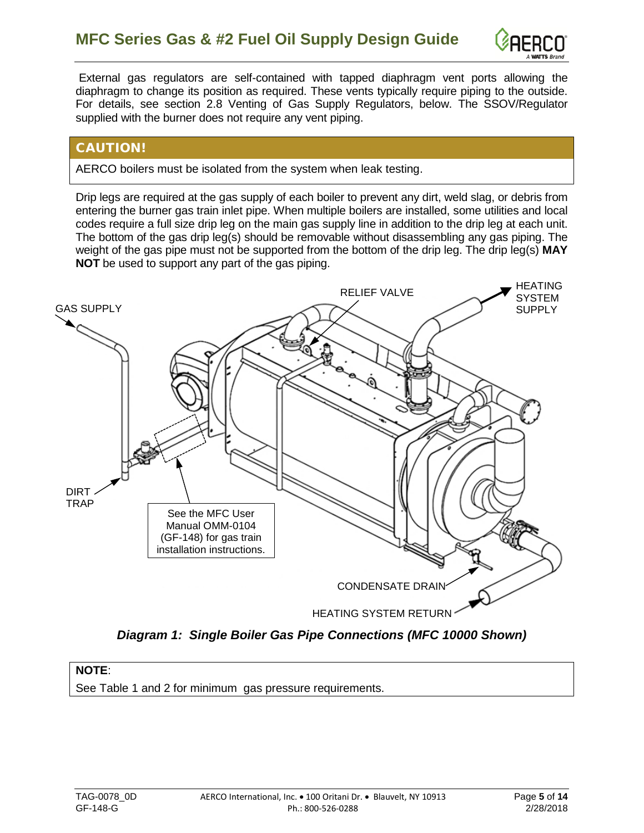

External gas regulators are self-contained with tapped diaphragm vent ports allowing the diaphragm to change its position as required. These vents typically require piping to the outside. For details, see section 2.8 Venting of Gas Supply Regulators, below. The SSOV/Regulator supplied with the burner does not require any vent piping.

#### CAUTION!

AERCO boilers must be isolated from the system when leak testing.

Drip legs are required at the gas supply of each boiler to prevent any dirt, weld slag, or debris from entering the burner gas train inlet pipe. When multiple boilers are installed, some utilities and local codes require a full size drip leg on the main gas supply line in addition to the drip leg at each unit. The bottom of the gas drip leg(s) should be removable without disassembling any gas piping. The weight of the gas pipe must not be supported from the bottom of the drip leg. The drip leg(s) **MAY NOT** be used to support any part of the gas piping.



*Diagram 1: Single Boiler Gas Pipe Connections (MFC 10000 Shown)*

#### **NOTE**:

See Table 1 and 2 for minimum gas pressure requirements.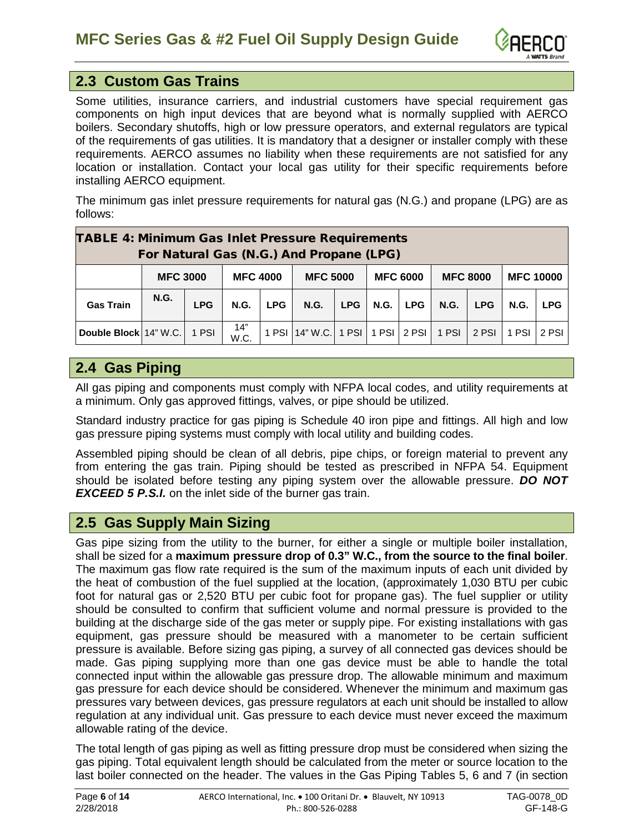

#### <span id="page-5-0"></span>**2.3 Custom Gas Trains**

Some utilities, insurance carriers, and industrial customers have special requirement gas components on high input devices that are beyond what is normally supplied with AERCO boilers. Secondary shutoffs, high or low pressure operators, and external regulators are typical of the requirements of gas utilities. It is mandatory that a designer or installer comply with these requirements. AERCO assumes no liability when these requirements are not satisfied for any location or installation. Contact your local gas utility for their specific requirements before installing AERCO equipment.

The minimum gas inlet pressure requirements for natural gas (N.G.) and propane (LPG) are as follows:

| <b>TABLE 4: Minimum Gas Inlet Pressure Requirements</b><br>For Natural Gas (N.G.) And Propane (LPG) |             |                                    |             |            |                                  |                                    |              |  |                 |            |                  |            |
|-----------------------------------------------------------------------------------------------------|-------------|------------------------------------|-------------|------------|----------------------------------|------------------------------------|--------------|--|-----------------|------------|------------------|------------|
|                                                                                                     |             | <b>MFC 3000</b><br><b>MFC 4000</b> |             |            |                                  | <b>MFC 6000</b><br><b>MFC 5000</b> |              |  | <b>MFC 8000</b> |            | <b>MFC 10000</b> |            |
| <b>Gas Train</b>                                                                                    | <b>N.G.</b> | <b>LPG</b>                         | <b>N.G.</b> | <b>LPG</b> | <b>N.G.</b>                      | LPG                                | N.G. $ $ LPG |  | <b>N.G.</b>     | <b>LPG</b> | <b>N.G.</b>      | <b>LPG</b> |
| Double Block 14" W.C. 1 PSI                                                                         |             |                                    | 14"<br>W.C. |            | 1 PSI 14" W.C. 1 PSI 1 PSI 2 PSI |                                    |              |  | 1 PSI           | 2 PSI      | 1 PSI            | $2$ PSI    |

### <span id="page-5-1"></span>**2.4 Gas Piping**

All gas piping and components must comply with NFPA local codes, and utility requirements at a minimum. Only gas approved fittings, valves, or pipe should be utilized.

Standard industry practice for gas piping is Schedule 40 iron pipe and fittings. All high and low gas pressure piping systems must comply with local utility and building codes.

Assembled piping should be clean of all debris, pipe chips, or foreign material to prevent any from entering the gas train. Piping should be tested as prescribed in NFPA 54. Equipment should be isolated before testing any piping system over the allowable pressure. *DO NOT EXCEED 5 P.S.I.* on the inlet side of the burner gas train.

#### <span id="page-5-2"></span>**2.5 Gas Supply Main Sizing**

Gas pipe sizing from the utility to the burner, for either a single or multiple boiler installation, shall be sized for a **maximum pressure drop of 0.3" W.C., from the source to the final boiler**. The maximum gas flow rate required is the sum of the maximum inputs of each unit divided by the heat of combustion of the fuel supplied at the location, (approximately 1,030 BTU per cubic foot for natural gas or 2,520 BTU per cubic foot for propane gas). The fuel supplier or utility should be consulted to confirm that sufficient volume and normal pressure is provided to the building at the discharge side of the gas meter or supply pipe. For existing installations with gas equipment, gas pressure should be measured with a manometer to be certain sufficient pressure is available. Before sizing gas piping, a survey of all connected gas devices should be made. Gas piping supplying more than one gas device must be able to handle the total connected input within the allowable gas pressure drop. The allowable minimum and maximum gas pressure for each device should be considered. Whenever the minimum and maximum gas pressures vary between devices, gas pressure regulators at each unit should be installed to allow regulation at any individual unit. Gas pressure to each device must never exceed the maximum allowable rating of the device.

The total length of gas piping as well as fitting pressure drop must be considered when sizing the gas piping. Total equivalent length should be calculated from the meter or source location to the last boiler connected on the header. The values in the Gas Piping Tables 5, 6 and 7 (in section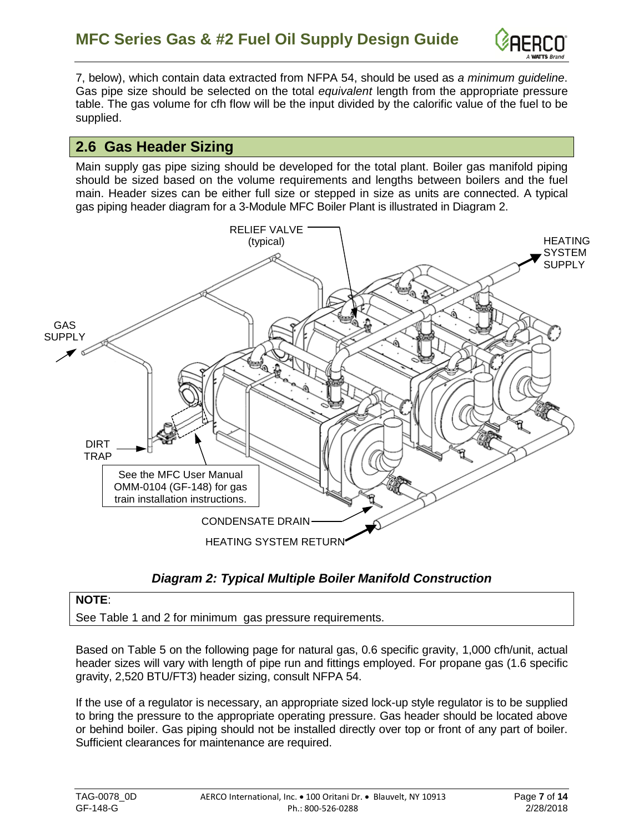

7, below), which contain data extracted from NFPA 54, should be used as *a minimum guideline*. Gas pipe size should be selected on the total *equivalent* length from the appropriate pressure table. The gas volume for cfh flow will be the input divided by the calorific value of the fuel to be supplied.

#### <span id="page-6-0"></span>**2.6 Gas Header Sizing**

Main supply gas pipe sizing should be developed for the total plant. Boiler gas manifold piping should be sized based on the volume requirements and lengths between boilers and the fuel main. Header sizes can be either full size or stepped in size as units are connected. A typical gas piping header diagram for a 3-Module MFC Boiler Plant is illustrated in Diagram 2.



#### *Diagram 2: Typical Multiple Boiler Manifold Construction*

#### **NOTE**:

See Table 1 and 2 for minimum gas pressure requirements.

Based on Table 5 on the following page for natural gas, 0.6 specific gravity, 1,000 cfh/unit, actual header sizes will vary with length of pipe run and fittings employed. For propane gas (1.6 specific gravity, 2,520 BTU/FT3) header sizing, consult NFPA 54.

If the use of a regulator is necessary, an appropriate sized lock-up style regulator is to be supplied to bring the pressure to the appropriate operating pressure. Gas header should be located above or behind boiler. Gas piping should not be installed directly over top or front of any part of boiler. Sufficient clearances for maintenance are required.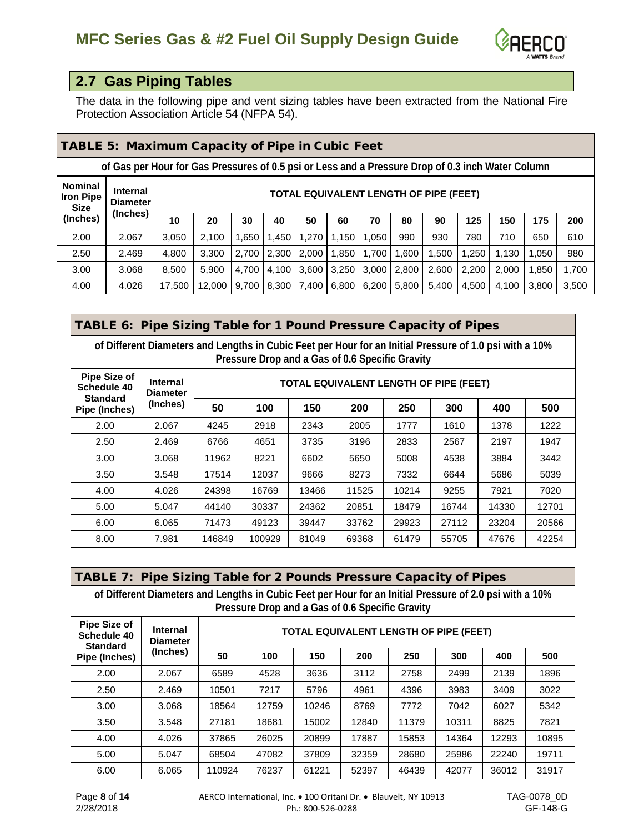

## <span id="page-7-0"></span>**2.7 Gas Piping Tables**

The data in the following pipe and vent sizing tables have been extracted from the National Fire Protection Association Article 54 (NFPA 54).

|                                            | <b>TABLE 5: Maximum Capacity of Pipe in Cubic Feet</b>                                            |        |                                        |       |       |       |       |       |       |       |       |       |       |       |
|--------------------------------------------|---------------------------------------------------------------------------------------------------|--------|----------------------------------------|-------|-------|-------|-------|-------|-------|-------|-------|-------|-------|-------|
|                                            | of Gas per Hour for Gas Pressures of 0.5 psi or Less and a Pressure Drop of 0.3 inch Water Column |        |                                        |       |       |       |       |       |       |       |       |       |       |       |
| <b>Nominal</b><br><b>Iron Pipe</b><br>Size | <b>Internal</b><br><b>Diameter</b>                                                                |        | TOTAL EQUIVALENT LENGTH OF PIPE (FEET) |       |       |       |       |       |       |       |       |       |       |       |
| (Inches)                                   | (Inches)                                                                                          | 10     | 20                                     | 30    | 40    | 50    | 60    | 70    | 80    | 90    | 125   | 150   | 175   | 200   |
| 2.00                                       | 2.067                                                                                             | 3.050  | 2.100                                  | 1.650 | 1,450 | 1.270 | 1.150 | 1.050 | 990   | 930   | 780   | 710   | 650   | 610   |
| 2.50                                       | 2.469                                                                                             | 4,800  | 3.300                                  | 2.700 | 2,300 | 2,000 | 1,850 | 1,700 | 1.600 | 1,500 | 1,250 | 1,130 | 1.050 | 980   |
| 3.00                                       | 3.068                                                                                             | 8.500  | 5.900                                  | 4.700 | 4,100 | 3,600 | 3,250 | 3,000 | 2,800 | 2.600 | 2,200 | 2.000 | 1,850 | 1,700 |
| 4.00                                       | 4.026                                                                                             | 17,500 | 12.000                                 | 9.700 | 8,300 | 7,400 | 6,800 | 6,200 | 5.800 | 5,400 | 4,500 | 4.100 | 3,800 | 3,500 |

|                                                | TABLE 6: Pipe Sizing Table for 1 Pound Pressure Capacity of Pipes                                                                                          |        |        |       |       |       |       |       |       |
|------------------------------------------------|------------------------------------------------------------------------------------------------------------------------------------------------------------|--------|--------|-------|-------|-------|-------|-------|-------|
|                                                | of Different Diameters and Lengths in Cubic Feet per Hour for an Initial Pressure of 1.0 psi with a 10%<br>Pressure Drop and a Gas of 0.6 Specific Gravity |        |        |       |       |       |       |       |       |
| Pipe Size of<br>Schedule 40<br><b>Standard</b> | <b>Internal</b><br><b>TOTAL EQUIVALENT LENGTH OF PIPE (FEET)</b><br><b>Diameter</b>                                                                        |        |        |       |       |       |       |       |       |
| Pipe (Inches)                                  | (Inches)                                                                                                                                                   | 50     | 100    | 150   | 200   | 250   | 300   | 400   | 500   |
| 2.00                                           | 2.067                                                                                                                                                      | 4245   | 2918   | 2343  | 2005  | 1777  | 1610  | 1378  | 1222  |
| 2.50                                           | 2.469                                                                                                                                                      | 6766   | 4651   | 3735  | 3196  | 2833  | 2567  | 2197  | 1947  |
| 3.00                                           | 3.068                                                                                                                                                      | 11962  | 8221   | 6602  | 5650  | 5008  | 4538  | 3884  | 3442  |
| 3.50                                           | 3.548                                                                                                                                                      | 17514  | 12037  | 9666  | 8273  | 7332  | 6644  | 5686  | 5039  |
| 4.00                                           | 4.026                                                                                                                                                      | 24398  | 16769  | 13466 | 11525 | 10214 | 9255  | 7921  | 7020  |
| 5.00                                           | 5.047                                                                                                                                                      | 44140  | 30337  | 24362 | 20851 | 18479 | 16744 | 14330 | 12701 |
| 6.00                                           | 6.065                                                                                                                                                      | 71473  | 49123  | 39447 | 33762 | 29923 | 27112 | 23204 | 20566 |
| 8.00                                           | 7.981                                                                                                                                                      | 146849 | 100929 | 81049 | 69368 | 61479 | 55705 | 47676 | 42254 |

|                                                       | <b>TABLE 7: Pipe Sizing Table for 2 Pounds Pressure Capacity of Pipes</b>                               |                                        |       |                                                 |       |       |       |       |       |
|-------------------------------------------------------|---------------------------------------------------------------------------------------------------------|----------------------------------------|-------|-------------------------------------------------|-------|-------|-------|-------|-------|
|                                                       | of Different Diameters and Lengths in Cubic Feet per Hour for an Initial Pressure of 2.0 psi with a 10% |                                        |       | Pressure Drop and a Gas of 0.6 Specific Gravity |       |       |       |       |       |
| <b>Pipe Size of</b><br>Schedule 40<br><b>Standard</b> | <b>Internal</b><br><b>Diameter</b>                                                                      | TOTAL EQUIVALENT LENGTH OF PIPE (FEET) |       |                                                 |       |       |       |       |       |
| Pipe (Inches)                                         | (Inches)                                                                                                | 50                                     | 100   | 150                                             | 200   | 250   | 300   | 400   | 500   |
| 2.00                                                  | 2.067                                                                                                   | 6589                                   | 4528  | 3636                                            | 3112  | 2758  | 2499  | 2139  | 1896  |
| 2.50                                                  | 2.469                                                                                                   | 10501                                  | 7217  | 5796                                            | 4961  | 4396  | 3983  | 3409  | 3022  |
| 3.00                                                  | 3.068                                                                                                   | 18564                                  | 12759 | 10246                                           | 8769  | 7772  | 7042  | 6027  | 5342  |
| 3.50                                                  | 3.548                                                                                                   | 27181                                  | 18681 | 15002                                           | 12840 | 11379 | 10311 | 8825  | 7821  |
| 4.00                                                  | 4.026                                                                                                   | 37865                                  | 26025 | 20899                                           | 17887 | 15853 | 14364 | 12293 | 10895 |
| 5.00                                                  | 5.047                                                                                                   | 68504                                  | 47082 | 37809                                           | 32359 | 28680 | 25986 | 22240 | 19711 |
| 6.00                                                  | 6.065                                                                                                   | 110924                                 | 76237 | 61221                                           | 52397 | 46439 | 42077 | 36012 | 31917 |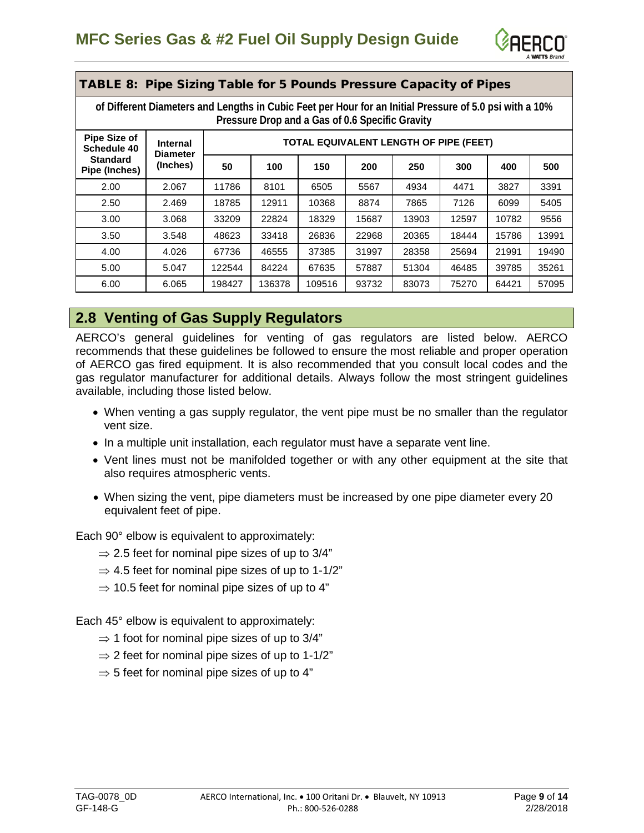

| <b>TABLE 8:</b>                  | Pipe Sizing Table for 5 Pounds Pressure Capacity of Pipes                                                                                                  |        |        |        |       |       |       |       |       |
|----------------------------------|------------------------------------------------------------------------------------------------------------------------------------------------------------|--------|--------|--------|-------|-------|-------|-------|-------|
|                                  | of Different Diameters and Lengths in Cubic Feet per Hour for an Initial Pressure of 5.0 psi with a 10%<br>Pressure Drop and a Gas of 0.6 Specific Gravity |        |        |        |       |       |       |       |       |
| Pipe Size of<br>Schedule 40      | TOTAL EQUIVALENT LENGTH OF PIPE (FEET)<br><b>Internal</b><br><b>Diameter</b>                                                                               |        |        |        |       |       |       |       |       |
| <b>Standard</b><br>Pipe (Inches) | (Inches)                                                                                                                                                   | 50     | 100    | 150    | 200   | 250   | 300   | 400   | 500   |
| 2.00                             | 2.067                                                                                                                                                      | 11786  | 8101   | 6505   | 5567  | 4934  | 4471  | 3827  | 3391  |
| 2.50                             | 2.469                                                                                                                                                      | 18785  | 12911  | 10368  | 8874  | 7865  | 7126  | 6099  | 5405  |
| 3.00                             | 3.068                                                                                                                                                      | 33209  | 22824  | 18329  | 15687 | 13903 | 12597 | 10782 | 9556  |
| 3.50                             | 3.548                                                                                                                                                      | 48623  | 33418  | 26836  | 22968 | 20365 | 18444 | 15786 | 13991 |
| 4.00                             | 4.026                                                                                                                                                      | 67736  | 46555  | 37385  | 31997 | 28358 | 25694 | 21991 | 19490 |
| 5.00                             | 5.047                                                                                                                                                      | 122544 | 84224  | 67635  | 57887 | 51304 | 46485 | 39785 | 35261 |
| 6.00                             | 6.065                                                                                                                                                      | 198427 | 136378 | 109516 | 93732 | 83073 | 75270 | 64421 | 57095 |

#### <span id="page-8-0"></span>**2.8 Venting of Gas Supply Regulators**

AERCO's general guidelines for venting of gas regulators are listed below. AERCO recommends that these guidelines be followed to ensure the most reliable and proper operation of AERCO gas fired equipment. It is also recommended that you consult local codes and the gas regulator manufacturer for additional details. Always follow the most stringent guidelines available, including those listed below.

- When venting a gas supply regulator, the vent pipe must be no smaller than the regulator vent size.
- In a multiple unit installation, each regulator must have a separate vent line.
- Vent lines must not be manifolded together or with any other equipment at the site that also requires atmospheric vents.
- When sizing the vent, pipe diameters must be increased by one pipe diameter every 20 equivalent feet of pipe.

Each 90° elbow is equivalent to approximately:

- $\Rightarrow$  2.5 feet for nominal pipe sizes of up to 3/4"
- $\Rightarrow$  4.5 feet for nominal pipe sizes of up to 1-1/2"
- $\Rightarrow$  10.5 feet for nominal pipe sizes of up to 4"

Each 45° elbow is equivalent to approximately:

- $\Rightarrow$  1 foot for nominal pipe sizes of up to 3/4"
- $\Rightarrow$  2 feet for nominal pipe sizes of up to 1-1/2"
- $\Rightarrow$  5 feet for nominal pipe sizes of up to 4"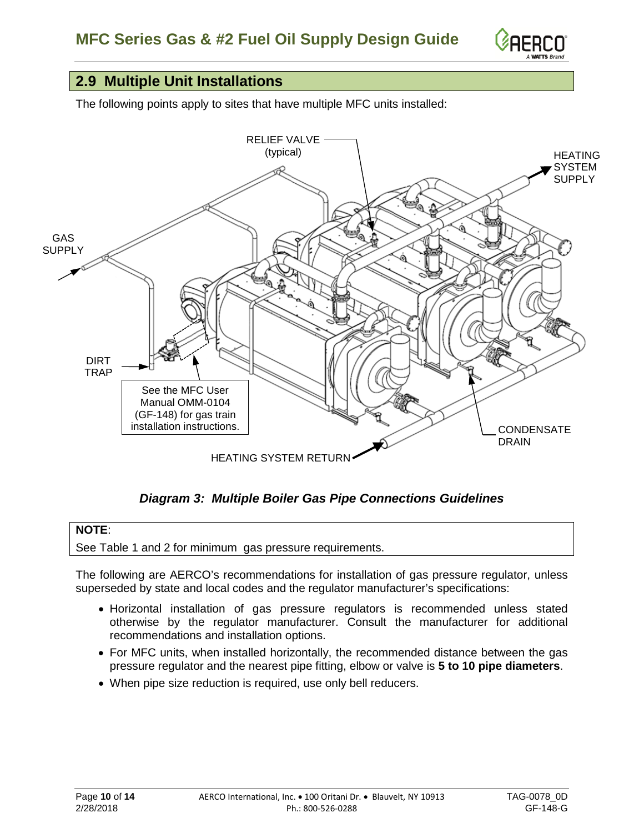

#### <span id="page-9-0"></span>**2.9 Multiple Unit Installations**

The following points apply to sites that have multiple MFC units installed:



*Diagram 3: Multiple Boiler Gas Pipe Connections Guidelines*

#### **NOTE**:

See Table 1 and 2 for minimum gas pressure requirements.

The following are AERCO's recommendations for installation of gas pressure regulator, unless superseded by state and local codes and the regulator manufacturer's specifications:

- Horizontal installation of gas pressure regulators is recommended unless stated otherwise by the regulator manufacturer. Consult the manufacturer for additional recommendations and installation options.
- For MFC units, when installed horizontally, the recommended distance between the gas pressure regulator and the nearest pipe fitting, elbow or valve is **5 to 10 pipe diameters**.
- When pipe size reduction is required, use only bell reducers.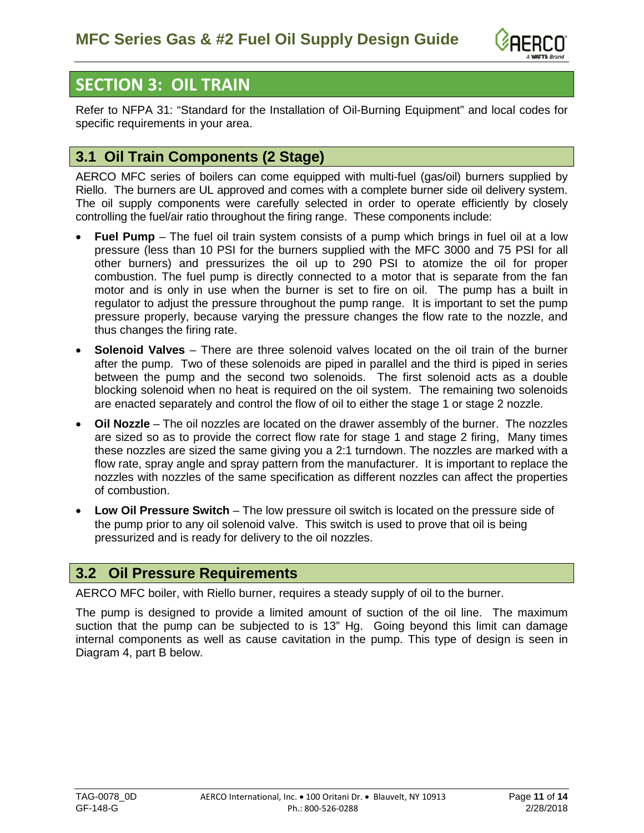

## <span id="page-10-0"></span>**SECTION 3: OIL TRAIN**

Refer to NFPA 31: "Standard for the Installation of Oil-Burning Equipment" and local codes for specific requirements in your area.

### <span id="page-10-1"></span>**3.1 Oil Train Components (2 Stage)**

AERCO MFC series of boilers can come equipped with multi-fuel (gas/oil) burners supplied by Riello. The burners are UL approved and comes with a complete burner side oil delivery system. The oil supply components were carefully selected in order to operate efficiently by closely controlling the fuel/air ratio throughout the firing range. These components include:

- **Fuel Pump** The fuel oil train system consists of a pump which brings in fuel oil at a low pressure (less than 10 PSI for the burners supplied with the MFC 3000 and 75 PSI for all other burners) and pressurizes the oil up to 290 PSI to atomize the oil for proper combustion. The fuel pump is directly connected to a motor that is separate from the fan motor and is only in use when the burner is set to fire on oil. The pump has a built in regulator to adjust the pressure throughout the pump range. It is important to set the pump pressure properly, because varying the pressure changes the flow rate to the nozzle, and thus changes the firing rate.
- **Solenoid Valves** There are three solenoid valves located on the oil train of the burner after the pump. Two of these solenoids are piped in parallel and the third is piped in series between the pump and the second two solenoids. The first solenoid acts as a double blocking solenoid when no heat is required on the oil system. The remaining two solenoids are enacted separately and control the flow of oil to either the stage 1 or stage 2 nozzle.
- **Oil Nozzle** The oil nozzles are located on the drawer assembly of the burner. The nozzles are sized so as to provide the correct flow rate for stage 1 and stage 2 firing, Many times these nozzles are sized the same giving you a 2:1 turndown. The nozzles are marked with a flow rate, spray angle and spray pattern from the manufacturer. It is important to replace the nozzles with nozzles of the same specification as different nozzles can affect the properties of combustion.
- **Low Oil Pressure Switch** The low pressure oil switch is located on the pressure side of the pump prior to any oil solenoid valve. This switch is used to prove that oil is being pressurized and is ready for delivery to the oil nozzles.

#### <span id="page-10-2"></span>**3.2 Oil Pressure Requirements**

AERCO MFC boiler, with Riello burner, requires a steady supply of oil to the burner.

The pump is designed to provide a limited amount of suction of the oil line. The maximum suction that the pump can be subjected to is 13" Hg. Going beyond this limit can damage internal components as well as cause cavitation in the pump. This type of design is seen in Diagram 4, part B below.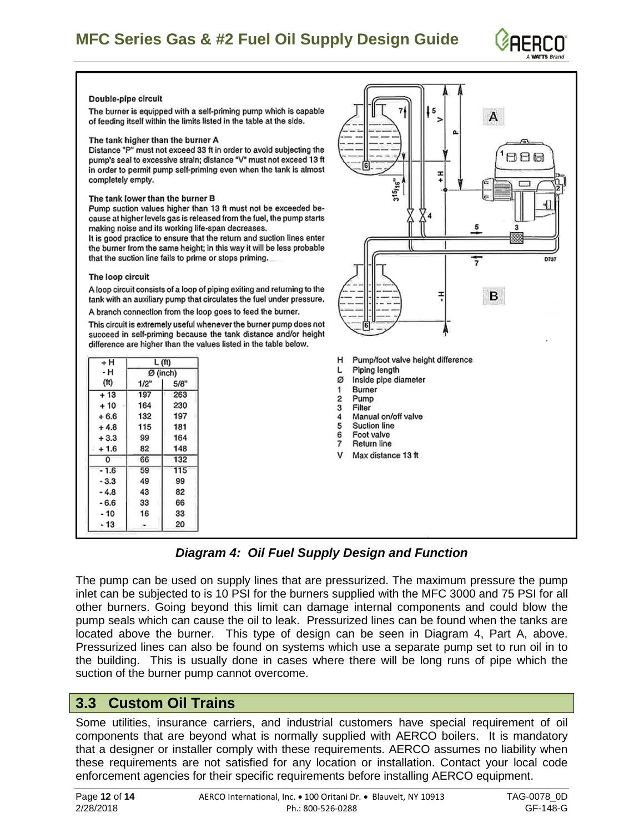## **MFC Series Gas & #2 Fuel Oil Supply Design Guide**



#### Double-pipe circuit

The burner is equipped with a self-priming pump which is capable of feeding itself within the limits listed in the table at the side.

#### The tank higher than the burner A

Distance "P" must not exceed 33 ft in order to avoid subjecting the pump's seal to excessive strain; distance "V" must not exceed 13 ft in order to permit pump self-priming even when the tank is almost completely empty.

#### The tank lower than the burner B

Pump suction values higher than 13 ft must not be exceeded because at higher levels gas is released from the fuel, the pump starts making noise and its working life-span decreases.

It is good practice to ensure that the return and suction lines enter the burner from the same height; in this way it will be less probable that the suction line fails to prime or stops priming.

#### The loop circuit

A loop circuit consists of a loop of piping exiting and returning to the tank with an auxiliary pump that circulates the fuel under pressure.

A branch connection from the loop goes to feed the burner.

This circuit is extremely useful whenever the burner pump does not succeed in self-priming because the tank distance and/or height difference are higher than the values listed in the table below.

| + H    | L (ft) |          |  |  |  |
|--------|--------|----------|--|--|--|
| - н    |        | Ø (inch) |  |  |  |
| (ft)   | 1/2"   | 5/8"     |  |  |  |
| $+13$  | 197    | 263      |  |  |  |
| $+10$  | 164    | 230      |  |  |  |
| $+6.6$ | 132    | 197      |  |  |  |
| $+4.8$ | 115    | 181      |  |  |  |
| $+3.3$ | 99     | 164      |  |  |  |
| + 1.6  | 82     | 148      |  |  |  |
| 0      | 66     | 132      |  |  |  |
| $-1.6$ | 59     | 115      |  |  |  |
| - 3.3  | 49     | 99       |  |  |  |
| - 4.8  | 43     | 82       |  |  |  |
| - 6.6  | 33     | 66       |  |  |  |
| - 10   | 16     | 33       |  |  |  |
| - 13   | ŢΨ.    | 20       |  |  |  |



*Diagram 4: Oil Fuel Supply Design and Function*

The pump can be used on supply lines that are pressurized. The maximum pressure the pump inlet can be subjected to is 10 PSI for the burners supplied with the MFC 3000 and 75 PSI for all other burners. Going beyond this limit can damage internal components and could blow the pump seals which can cause the oil to leak. Pressurized lines can be found when the tanks are located above the burner. This type of design can be seen in Diagram 4, Part A, above. Pressurized lines can also be found on systems which use a separate pump set to run oil in to the building. This is usually done in cases where there will be long runs of pipe which the suction of the burner pump cannot overcome.

#### <span id="page-11-0"></span>**3.3 Custom Oil Trains**

Some utilities, insurance carriers, and industrial customers have special requirement of oil components that are beyond what is normally supplied with AERCO boilers. It is mandatory that a designer or installer comply with these requirements. AERCO assumes no liability when these requirements are not satisfied for any location or installation. Contact your local code enforcement agencies for their specific requirements before installing AERCO equipment.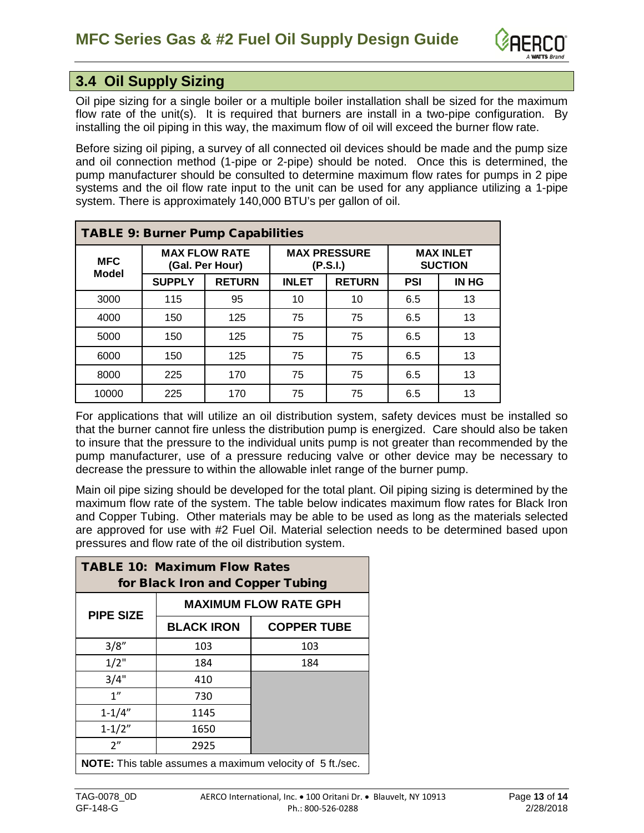

## <span id="page-12-0"></span>**3.4 Oil Supply Sizing**

Oil pipe sizing for a single boiler or a multiple boiler installation shall be sized for the maximum flow rate of the unit(s). It is required that burners are install in a two-pipe configuration. By installing the oil piping in this way, the maximum flow of oil will exceed the burner flow rate.

Before sizing oil piping, a survey of all connected oil devices should be made and the pump size and oil connection method (1-pipe or 2-pipe) should be noted. Once this is determined, the pump manufacturer should be consulted to determine maximum flow rates for pumps in 2 pipe systems and the oil flow rate input to the unit can be used for any appliance utilizing a 1-pipe system. There is approximately 140,000 BTU's per gallon of oil.

|              | <b>TABLE 9: Burner Pump Capabilities</b> |                                         |              |                                 |                                    |              |  |  |
|--------------|------------------------------------------|-----------------------------------------|--------------|---------------------------------|------------------------------------|--------------|--|--|
| <b>MFC</b>   |                                          | <b>MAX FLOW RATE</b><br>(Gal. Per Hour) |              | <b>MAX PRESSURE</b><br>(P.S.I.) | <b>MAX INLET</b><br><b>SUCTION</b> |              |  |  |
| <b>Model</b> | <b>SUPPLY</b>                            | <b>RETURN</b>                           | <b>INLET</b> | <b>RETURN</b>                   | <b>PSI</b>                         | <b>IN HG</b> |  |  |
| 3000         | 115                                      | 95                                      | 10           | 10                              | 6.5                                | 13           |  |  |
| 4000         | 150                                      | 125                                     | 75           | 75                              | 6.5                                | 13           |  |  |
| 5000         | 150                                      | 125                                     | 75           | 75                              | 6.5                                | 13           |  |  |
| 6000         | 150                                      | 125                                     | 75           | 75                              | 6.5                                | 13           |  |  |
| 8000         | 225                                      | 170                                     | 75           | 75                              | 6.5                                | 13           |  |  |
| 10000        | 225                                      | 170                                     | 75           | 75                              | 6.5                                | 13           |  |  |

For applications that will utilize an oil distribution system, safety devices must be installed so that the burner cannot fire unless the distribution pump is energized. Care should also be taken to insure that the pressure to the individual units pump is not greater than recommended by the pump manufacturer, use of a pressure reducing valve or other device may be necessary to decrease the pressure to within the allowable inlet range of the burner pump.

Main oil pipe sizing should be developed for the total plant. Oil piping sizing is determined by the maximum flow rate of the system. The table below indicates maximum flow rates for Black Iron and Copper Tubing. Other materials may be able to be used as long as the materials selected are approved for use with #2 Fuel Oil. Material selection needs to be determined based upon pressures and flow rate of the oil distribution system.

| <b>TABLE 10: Maximum Flow Rates</b><br>for Black Iron and Copper Tubing |                              |                                                                  |  |  |  |  |  |  |
|-------------------------------------------------------------------------|------------------------------|------------------------------------------------------------------|--|--|--|--|--|--|
| <b>PIPE SIZE</b>                                                        | <b>MAXIMUM FLOW RATE GPH</b> |                                                                  |  |  |  |  |  |  |
|                                                                         | <b>BLACK IRON</b>            | <b>COPPER TUBE</b>                                               |  |  |  |  |  |  |
| 3/8"                                                                    | 103                          | 103                                                              |  |  |  |  |  |  |
| $1/2$ "                                                                 | 184                          | 184                                                              |  |  |  |  |  |  |
| 3/4"                                                                    | 410                          |                                                                  |  |  |  |  |  |  |
| 1"                                                                      | 730                          |                                                                  |  |  |  |  |  |  |
| $1 - 1/4"$                                                              | 1145                         |                                                                  |  |  |  |  |  |  |
| $1 - 1/2"$                                                              | 1650                         |                                                                  |  |  |  |  |  |  |
| 2"                                                                      | 2925                         |                                                                  |  |  |  |  |  |  |
|                                                                         |                              | <b>NOTE:</b> This table assumes a maximum velocity of 5 ft./sec. |  |  |  |  |  |  |